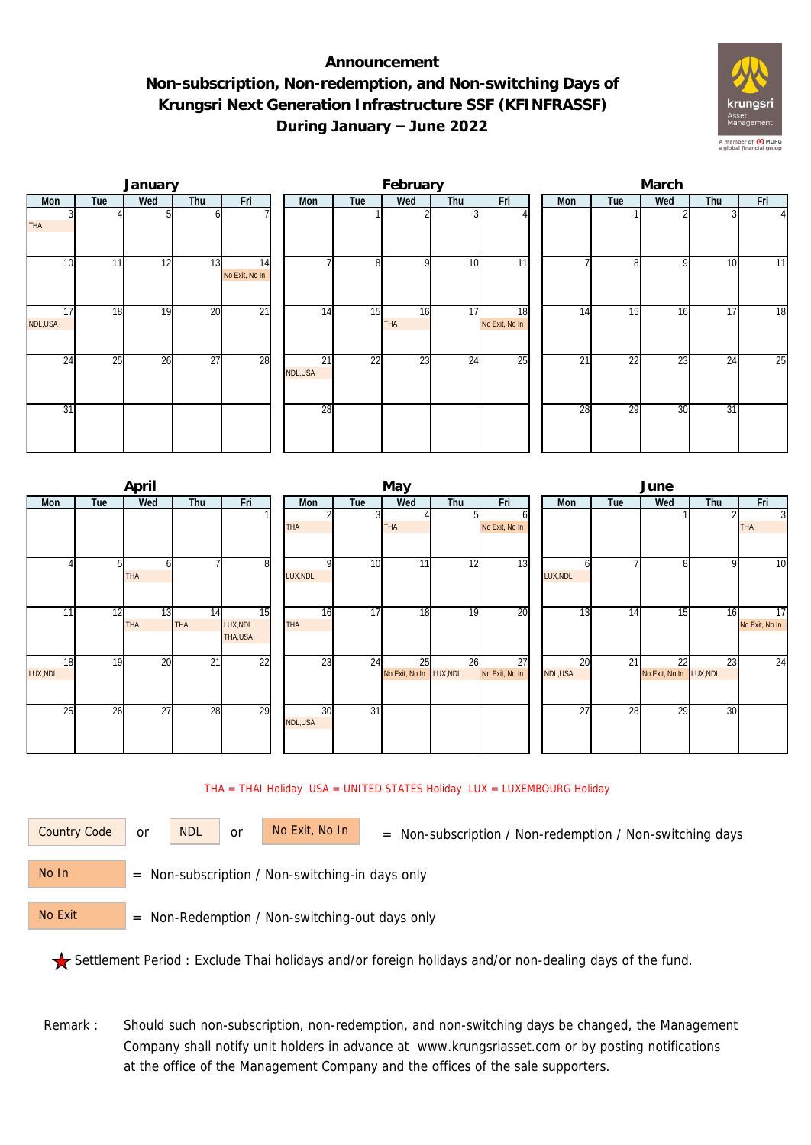## **Announcement Non-subscription, Non-redemption, and Non-switching Days of Krungsri Next Generation Infrastructure SSF (KFINFRASSF) During January – June 2022**



|               |     | January |                 |                      | February      |     |                  |                 |                      |  | March |                 |     |     |          |  |  |
|---------------|-----|---------|-----------------|----------------------|---------------|-----|------------------|-----------------|----------------------|--|-------|-----------------|-----|-----|----------|--|--|
| Mon           | Tue | Wed     | Thu             | Fri                  | Mon           | Tue | Wed              | Thu             | Fri                  |  | Mon   | Tue             | Wed | Thu | Fri      |  |  |
| <b>THA</b>    |     |         |                 |                      |               |     |                  |                 |                      |  |       |                 |     |     | $\Delta$ |  |  |
| 10            | 11  | 12      | 13              | 14<br>No Exit, No In |               | 8   | <sup>Q</sup>     | 10              | $\overline{11}$      |  |       | 81              | 9   | 10  | 11       |  |  |
| 17<br>NDL,USA | 18  | 19      | 20              | $\overline{21}$      | 14            | 15  | 16<br><b>THA</b> | 17              | 18<br>No Exit, No In |  | 14    | 15              | 16  | 17  | 18       |  |  |
| 24            | 25  | 26      | $\overline{27}$ | 28                   | 21<br>NDL,USA | 22  | 23               | $2\overline{4}$ | 25                   |  | 21    | $\overline{22}$ | 23  | 24  | 25       |  |  |
| 31            |     |         |                 |                      | 28            |     |                  |                 |                      |  | 28    | 29              | 30  | 31  |          |  |  |

|          |     | April      |                 |                 |  |            |                 | May                     |     |                | June            |     |                         |     |                |  |
|----------|-----|------------|-----------------|-----------------|--|------------|-----------------|-------------------------|-----|----------------|-----------------|-----|-------------------------|-----|----------------|--|
| Mon      | Tue | Wed<br>Thu |                 | Fri             |  | Mon        | Tue             | Wed                     | Thu | Fri            | Mon             | Tue | Wed                     | Thu | Fri            |  |
|          |     |            |                 |                 |  |            |                 |                         |     | ΩI             |                 |     |                         |     | $\overline{3}$ |  |
|          |     |            |                 |                 |  | <b>THA</b> |                 | THA                     |     | No Exit, No In |                 |     |                         |     | <b>THA</b>     |  |
|          |     |            |                 |                 |  |            |                 |                         |     |                |                 |     |                         |     |                |  |
|          |     |            |                 |                 |  |            |                 |                         |     |                |                 |     |                         |     |                |  |
|          |     | ω          |                 | 8               |  |            | 10              | 11                      | 12  | 13             |                 |     | 8                       | 9   | 10             |  |
|          |     | <b>THA</b> |                 |                 |  | LUX, NDL   |                 |                         |     |                | LUX, NDL        |     |                         |     |                |  |
|          |     |            |                 |                 |  |            |                 |                         |     |                |                 |     |                         |     |                |  |
|          |     |            |                 |                 |  |            |                 |                         |     |                |                 |     |                         |     |                |  |
| 11       | 12  | 13         | 14              | $\overline{15}$ |  | 16         | 17              | 18                      | 19  | 20             | 13              | 14  | 15                      | 16  | 17             |  |
|          |     | <b>THA</b> | <b>THA</b>      | LUX, NDL        |  | <b>THA</b> |                 |                         |     |                |                 |     |                         |     | No Exit, No In |  |
|          |     |            |                 | THA, USA        |  |            |                 |                         |     |                |                 |     |                         |     |                |  |
|          |     |            |                 |                 |  |            |                 |                         |     |                |                 |     |                         |     |                |  |
| 18       | 19  | 20         | $\overline{21}$ | $\overline{22}$ |  | 23         | 24              | 25                      | 26  | 27             | 20              | 21  | 22                      | 23  | 24             |  |
| LUX, NDL |     |            |                 |                 |  |            |                 | No Exit, No In LUX, NDL |     | No Exit, No In | NDL,USA         |     | No Exit, No In LUX, NDL |     |                |  |
|          |     |            |                 |                 |  |            |                 |                         |     |                |                 |     |                         |     |                |  |
| 25       | 26  | 27         |                 | 29              |  | 30         | $\overline{31}$ |                         |     |                | $\overline{27}$ | 28  | 29                      |     |                |  |
|          |     |            | 28              |                 |  | NDL,USA    |                 |                         |     |                |                 |     |                         | 30  |                |  |
|          |     |            |                 |                 |  |            |                 |                         |     |                |                 |     |                         |     |                |  |
|          |     |            |                 |                 |  |            |                 |                         |     |                |                 |     |                         |     |                |  |

THA = THAI Holiday USA = UNITED STATES Holiday LUX = LUXEMBOURG Holiday

or NDL or

Country Code or NDL or No Exit, No In = Non-subscription / Non-redemption / Non-switching days

 = Non-subscription / Non-switching-in days only No In

 = Non-Redemption / Non-switching-out days only No Exit

Settlement Period : Exclude Thai holidays and/or foreign holidays and/or non-dealing days of the fund.

Remark : Should such non-subscription, non-redemption, and non-switching days be changed, the Management Company shall notify unit holders in advance at www.krungsriasset.com or by posting notifications at the office of the Management Company and the offices of the sale supporters.